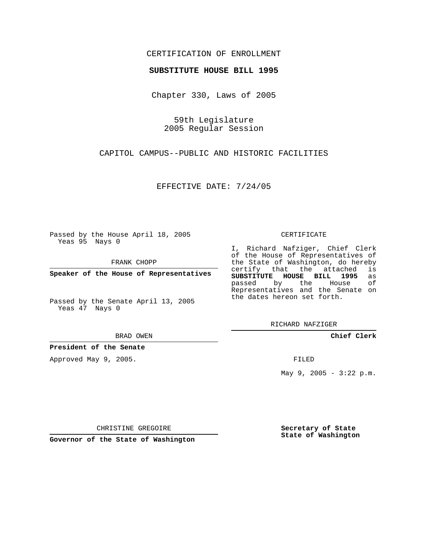## CERTIFICATION OF ENROLLMENT

### **SUBSTITUTE HOUSE BILL 1995**

Chapter 330, Laws of 2005

59th Legislature 2005 Regular Session

CAPITOL CAMPUS--PUBLIC AND HISTORIC FACILITIES

EFFECTIVE DATE: 7/24/05

Passed by the House April 18, 2005 Yeas 95 Nays 0

FRANK CHOPP

**Speaker of the House of Representatives**

Passed by the Senate April 13, 2005 Yeas 47 Nays 0

#### BRAD OWEN

**President of the Senate**

Approved May 9, 2005.

#### CERTIFICATE

I, Richard Nafziger, Chief Clerk of the House of Representatives of the State of Washington, do hereby<br>certify that the attached is certify that the attached **SUBSTITUTE HOUSE BILL 1995** as passed by the Representatives and the Senate on the dates hereon set forth.

RICHARD NAFZIGER

**Chief Clerk**

FILED

May 9, 2005 - 3:22 p.m.

CHRISTINE GREGOIRE

**Governor of the State of Washington**

**Secretary of State State of Washington**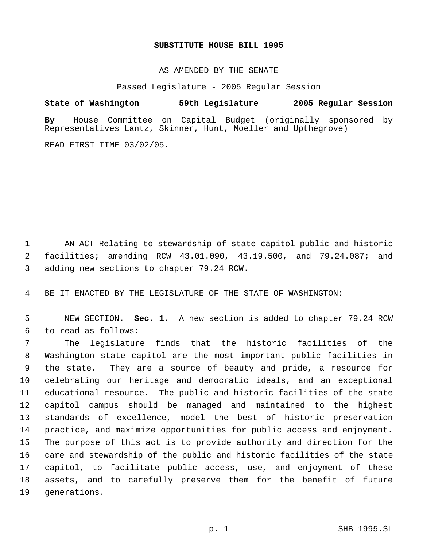# **SUBSTITUTE HOUSE BILL 1995** \_\_\_\_\_\_\_\_\_\_\_\_\_\_\_\_\_\_\_\_\_\_\_\_\_\_\_\_\_\_\_\_\_\_\_\_\_\_\_\_\_\_\_\_\_

\_\_\_\_\_\_\_\_\_\_\_\_\_\_\_\_\_\_\_\_\_\_\_\_\_\_\_\_\_\_\_\_\_\_\_\_\_\_\_\_\_\_\_\_\_

### AS AMENDED BY THE SENATE

Passed Legislature - 2005 Regular Session

## **State of Washington 59th Legislature 2005 Regular Session**

**By** House Committee on Capital Budget (originally sponsored by Representatives Lantz, Skinner, Hunt, Moeller and Upthegrove)

READ FIRST TIME 03/02/05.

 AN ACT Relating to stewardship of state capitol public and historic facilities; amending RCW 43.01.090, 43.19.500, and 79.24.087; and adding new sections to chapter 79.24 RCW.

BE IT ENACTED BY THE LEGISLATURE OF THE STATE OF WASHINGTON:

 NEW SECTION. **Sec. 1.** A new section is added to chapter 79.24 RCW to read as follows:

 The legislature finds that the historic facilities of the Washington state capitol are the most important public facilities in the state. They are a source of beauty and pride, a resource for celebrating our heritage and democratic ideals, and an exceptional educational resource. The public and historic facilities of the state capitol campus should be managed and maintained to the highest standards of excellence, model the best of historic preservation practice, and maximize opportunities for public access and enjoyment. The purpose of this act is to provide authority and direction for the care and stewardship of the public and historic facilities of the state capitol, to facilitate public access, use, and enjoyment of these assets, and to carefully preserve them for the benefit of future generations.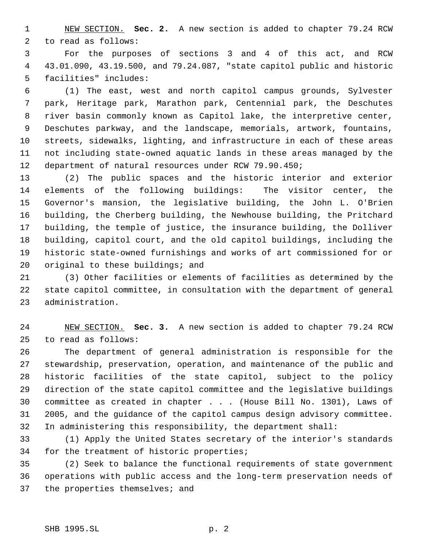NEW SECTION. **Sec. 2.** A new section is added to chapter 79.24 RCW to read as follows:

 For the purposes of sections 3 and 4 of this act, and RCW 43.01.090, 43.19.500, and 79.24.087, "state capitol public and historic facilities" includes:

 (1) The east, west and north capitol campus grounds, Sylvester park, Heritage park, Marathon park, Centennial park, the Deschutes river basin commonly known as Capitol lake, the interpretive center, Deschutes parkway, and the landscape, memorials, artwork, fountains, streets, sidewalks, lighting, and infrastructure in each of these areas not including state-owned aquatic lands in these areas managed by the department of natural resources under RCW 79.90.450;

 (2) The public spaces and the historic interior and exterior elements of the following buildings: The visitor center, the Governor's mansion, the legislative building, the John L. O'Brien building, the Cherberg building, the Newhouse building, the Pritchard building, the temple of justice, the insurance building, the Dolliver building, capitol court, and the old capitol buildings, including the historic state-owned furnishings and works of art commissioned for or 20 original to these buildings; and

 (3) Other facilities or elements of facilities as determined by the state capitol committee, in consultation with the department of general administration.

 NEW SECTION. **Sec. 3.** A new section is added to chapter 79.24 RCW to read as follows:

 The department of general administration is responsible for the stewardship, preservation, operation, and maintenance of the public and historic facilities of the state capitol, subject to the policy direction of the state capitol committee and the legislative buildings committee as created in chapter . . . (House Bill No. 1301), Laws of 2005, and the guidance of the capitol campus design advisory committee. In administering this responsibility, the department shall:

 (1) Apply the United States secretary of the interior's standards for the treatment of historic properties;

 (2) Seek to balance the functional requirements of state government operations with public access and the long-term preservation needs of the properties themselves; and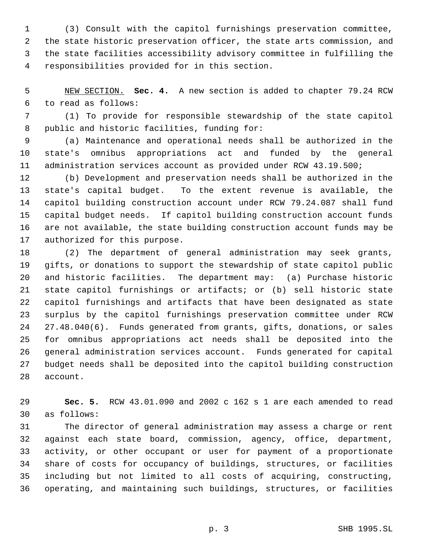(3) Consult with the capitol furnishings preservation committee, the state historic preservation officer, the state arts commission, and the state facilities accessibility advisory committee in fulfilling the responsibilities provided for in this section.

 NEW SECTION. **Sec. 4.** A new section is added to chapter 79.24 RCW to read as follows:

 (1) To provide for responsible stewardship of the state capitol public and historic facilities, funding for:

 (a) Maintenance and operational needs shall be authorized in the state's omnibus appropriations act and funded by the general administration services account as provided under RCW 43.19.500;

 (b) Development and preservation needs shall be authorized in the state's capital budget. To the extent revenue is available, the capitol building construction account under RCW 79.24.087 shall fund capital budget needs. If capitol building construction account funds are not available, the state building construction account funds may be authorized for this purpose.

 (2) The department of general administration may seek grants, gifts, or donations to support the stewardship of state capitol public and historic facilities. The department may: (a) Purchase historic state capitol furnishings or artifacts; or (b) sell historic state capitol furnishings and artifacts that have been designated as state surplus by the capitol furnishings preservation committee under RCW 27.48.040(6). Funds generated from grants, gifts, donations, or sales for omnibus appropriations act needs shall be deposited into the general administration services account. Funds generated for capital budget needs shall be deposited into the capitol building construction account.

 **Sec. 5.** RCW 43.01.090 and 2002 c 162 s 1 are each amended to read as follows:

 The director of general administration may assess a charge or rent against each state board, commission, agency, office, department, activity, or other occupant or user for payment of a proportionate share of costs for occupancy of buildings, structures, or facilities including but not limited to all costs of acquiring, constructing, operating, and maintaining such buildings, structures, or facilities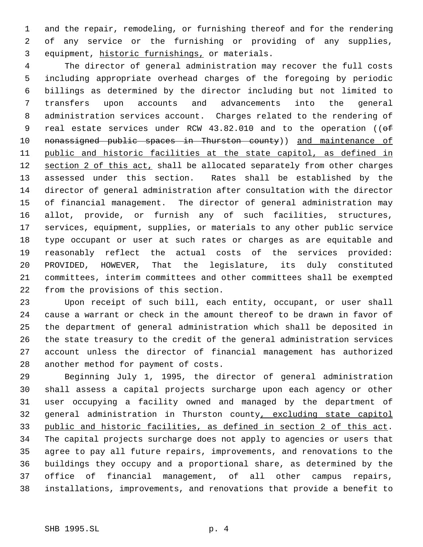and the repair, remodeling, or furnishing thereof and for the rendering of any service or the furnishing or providing of any supplies, equipment, historic furnishings, or materials.

 The director of general administration may recover the full costs including appropriate overhead charges of the foregoing by periodic billings as determined by the director including but not limited to transfers upon accounts and advancements into the general administration services account. Charges related to the rendering of 9 real estate services under RCW 43.82.010 and to the operation ((of 10 nonassigned public spaces in Thurston county)) and maintenance of public and historic facilities at the state capitol, as defined in 12 section 2 of this act, shall be allocated separately from other charges assessed under this section. Rates shall be established by the director of general administration after consultation with the director of financial management. The director of general administration may allot, provide, or furnish any of such facilities, structures, services, equipment, supplies, or materials to any other public service type occupant or user at such rates or charges as are equitable and reasonably reflect the actual costs of the services provided: PROVIDED, HOWEVER, That the legislature, its duly constituted committees, interim committees and other committees shall be exempted from the provisions of this section.

 Upon receipt of such bill, each entity, occupant, or user shall cause a warrant or check in the amount thereof to be drawn in favor of the department of general administration which shall be deposited in the state treasury to the credit of the general administration services account unless the director of financial management has authorized another method for payment of costs.

 Beginning July 1, 1995, the director of general administration shall assess a capital projects surcharge upon each agency or other user occupying a facility owned and managed by the department of 32 general administration in Thurston county, excluding state capitol public and historic facilities, as defined in section 2 of this act. The capital projects surcharge does not apply to agencies or users that agree to pay all future repairs, improvements, and renovations to the buildings they occupy and a proportional share, as determined by the office of financial management, of all other campus repairs, installations, improvements, and renovations that provide a benefit to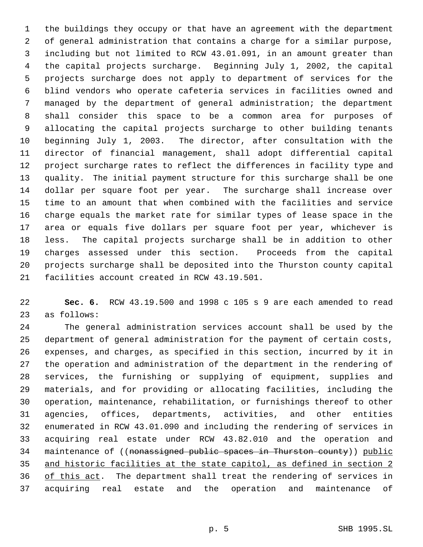the buildings they occupy or that have an agreement with the department of general administration that contains a charge for a similar purpose, including but not limited to RCW 43.01.091, in an amount greater than the capital projects surcharge. Beginning July 1, 2002, the capital projects surcharge does not apply to department of services for the blind vendors who operate cafeteria services in facilities owned and managed by the department of general administration; the department shall consider this space to be a common area for purposes of allocating the capital projects surcharge to other building tenants beginning July 1, 2003. The director, after consultation with the director of financial management, shall adopt differential capital project surcharge rates to reflect the differences in facility type and quality. The initial payment structure for this surcharge shall be one dollar per square foot per year. The surcharge shall increase over time to an amount that when combined with the facilities and service charge equals the market rate for similar types of lease space in the area or equals five dollars per square foot per year, whichever is less. The capital projects surcharge shall be in addition to other charges assessed under this section. Proceeds from the capital projects surcharge shall be deposited into the Thurston county capital facilities account created in RCW 43.19.501.

 **Sec. 6.** RCW 43.19.500 and 1998 c 105 s 9 are each amended to read as follows:

 The general administration services account shall be used by the department of general administration for the payment of certain costs, expenses, and charges, as specified in this section, incurred by it in the operation and administration of the department in the rendering of services, the furnishing or supplying of equipment, supplies and materials, and for providing or allocating facilities, including the operation, maintenance, rehabilitation, or furnishings thereof to other agencies, offices, departments, activities, and other entities enumerated in RCW 43.01.090 and including the rendering of services in acquiring real estate under RCW 43.82.010 and the operation and 34 maintenance of ((nonassigned public spaces in Thurston county)) public and historic facilities at the state capitol, as defined in section 2 36 of this act. The department shall treat the rendering of services in acquiring real estate and the operation and maintenance of